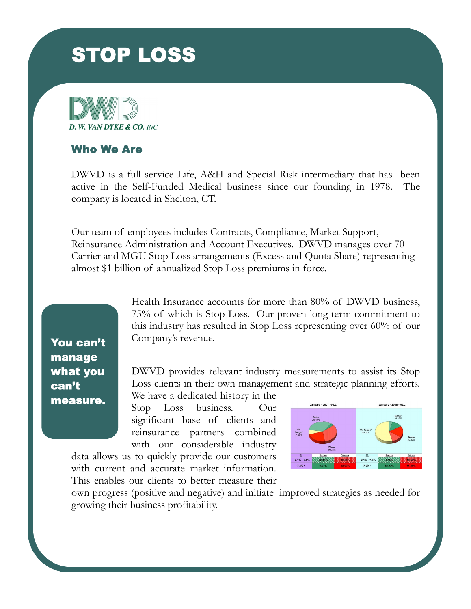# **STOP LOSS**





DWVD is a full service Life, A&H and Special Risk intermediary that has been active in the Self-Funded Medical business since our founding in 1978. The company is located in Shelton, CT.

Our team of employees includes Contracts, Compliance, Market Support, Reinsurance Administration and Account Executives. DWVD manages over 70 Carrier and MGU Stop Loss arrangements (Excess and Quota Share) representing almost \$1 billion of annualized Stop Loss premiums in force.

You can't manage what you can<sup>1</sup>t measure. Health Insurance accounts for more than 80% of DWVD business, 75% of which is Stop Loss. Our proven long term commitment to this industry has resulted in Stop Loss representing over 60% of our Company's revenue.

DWVD provides relevant industry measurements to assist its Stop Loss clients in their own management and strategic planning efforts.

We have a dedicated history in the Stop Loss business. Our significant base of clients and reinsurance partners combined with our considerable industry

data allows us to quickly provide our customers with current and accurate market information. This enables our clients to better measure their



own progress (positive and negative) and initiate improved strategies as needed for growing their business profitability.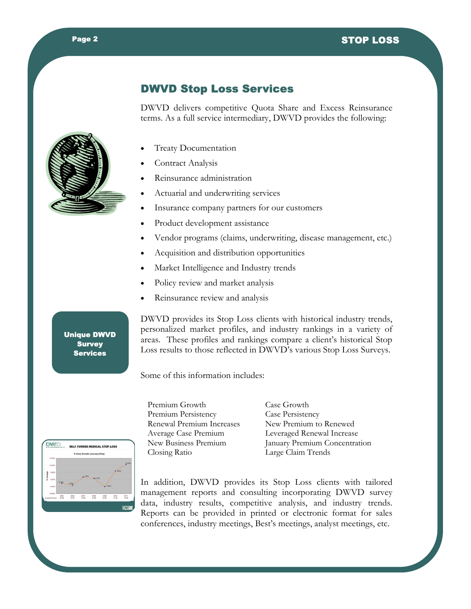#### **Page 2** and 2003 and 3DJH 6723/2666 and 3DJH 6723/2666 and 3DJH 6723/2666 and 3DJH 6723/2666 and 3DJH 6723/266

### DWVD Stop Loss Services

DWVD delivers competitive Quota Share and Excess Reinsurance terms. As a full service intermediary, DWVD provides the following:



- **Treaty Documentation**
- Contract Analysis
- Reinsurance administration
- Actuarial and underwriting services
- · Insurance company partners for our customers
- Product development assistance
- Vendor programs (claims, underwriting, disease management, etc.)
- · Acquisition and distribution opportunities
- Market Intelligence and Industry trends
- Policy review and market analysis
- Reinsurance review and analysis

Unique DWVD Survey Services

DWVD provides its Stop Loss clients with historical industry trends, personalized market profiles, and industry rankings in a variety of areas. These profiles and rankings compare a client's historical Stop Loss results to those reflected in DWVD's various Stop Loss Surveys.

Some of this information includes:

Premium Growth Case Growth Renewal Premium Increases Closing Ratio Large Claim Trends

Premium Persistency<br>
Renewal Premium Increases<br>
New Premium to Renewed Average Case Premium Leveraged Renewal Increase New Business Premium January Premium Concentration



In addition, DWVD provides its Stop Loss clients with tailored management reports and consulting incorporating DWVD survey data, industry results, competitive analysis, and industry trends. Reports can be provided in printed or electronic format for sales conferences, industry meetings, Best's meetings, analyst meetings, etc.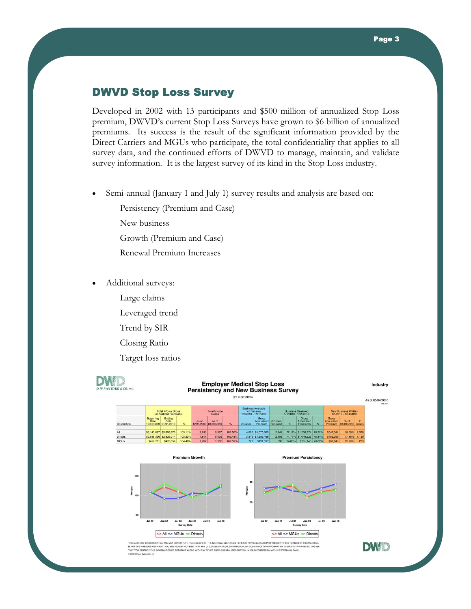#### DWVD Stop Loss Survey

Developed in 2002 with 13 participants and \$500 million of annualized Stop Loss premium, DWVD's current Stop Loss Surveys have grown to \$6 billion of annualized premiums. Its success is the result of the significant information provided by the Direct Carriers and MGUs who participate, the total confidentiality that applies to all survey data, and the continued efforts of DWVD to manage, maintain, and validate survey information. It is the largest survey of its kind in the Stop Loss industry.

Semi-annual (January 1 and July 1) survey results and analysis are based on:

Persistency (Premium and Case)

New business

Growth (Premium and Case)

- Renewal Premium Increases
- · Additional surveys:
	- Large claims
	- Leveraged trend
	- Trend by SIR
	- Closing Ratio

Target loss ratios